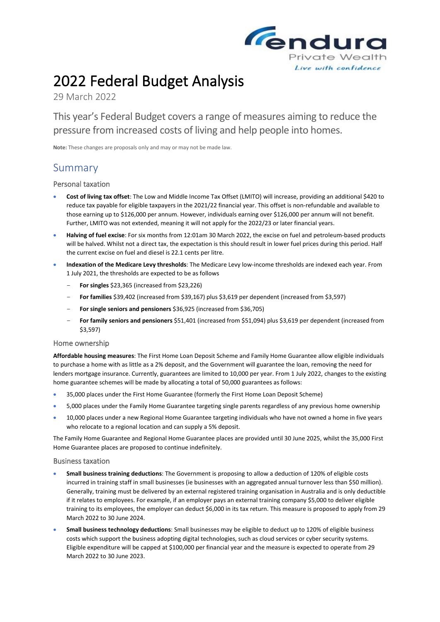

# 2022 Federal Budget Analysis

29 March 2022

This year's Federal Budget covers a range of measures aiming to reduce the pressure from increased costs of living and help people into homes.

**Note:** These changes are proposals only and may or may not be made law.

# Summary

## Personal taxation

- **Cost of living tax offset**: The Low and Middle Income Tax Offset (LMITO) will increase, providing an additional \$420 to reduce tax payable for eligible taxpayers in the 2021/22 financial year. This offset is non-refundable and available to those earning up to \$126,000 per annum. However, individuals earning over \$126,000 per annum will not benefit. Further, LMITO was not extended, meaning it will not apply for the 2022/23 or later financial years.
- **Halving of fuel excise**: For six months from 12:01am 30 March 2022, the excise on fuel and petroleum-based products will be halved. Whilst not a direct tax, the expectation is this should result in lower fuel prices during this period. Half the current excise on fuel and diesel is 22.1 cents per litre.
- **Indexation of the Medicare Levy thresholds**: The Medicare Levy low-income thresholds are indexed each year. From 1 July 2021, the thresholds are expected to be as follows
	- **For singles** \$23,365 (increased from \$23,226)
	- **For families** \$39,402 (increased from \$39,167) plus \$3,619 per dependent (increased from \$3,597)
	- **For single seniors and pensioners** \$36,925 (increased from \$36,705)
	- **For family seniors and pensioners** \$51,401 (increased from \$51,094) plus \$3,619 per dependent (increased from \$3,597)

### Home ownership

**Affordable housing measures**: The First Home Loan Deposit Scheme and Family Home Guarantee allow eligible individuals to purchase a home with as little as a 2% deposit, and the Government will guarantee the loan, removing the need for lenders mortgage insurance. Currently, guarantees are limited to 10,000 per year. From 1 July 2022, changes to the existing home guarantee schemes will be made by allocating a total of 50,000 guarantees as follows:

- 35,000 places under the First Home Guarantee (formerly the First Home Loan Deposit Scheme)
- 5,000 places under the Family Home Guarantee targeting single parents regardless of any previous home ownership
- 10,000 places under a new Regional Home Guarantee targeting individuals who have not owned a home in five years who relocate to a regional location and can supply a 5% deposit.

The Family Home Guarantee and Regional Home Guarantee places are provided until 30 June 2025, whilst the 35,000 First Home Guarantee places are proposed to continue indefinitely.

### Business taxation

- **Small business training deductions**: The Government is proposing to allow a deduction of 120% of eligible costs incurred in training staff in small businesses (ie businesses with an aggregated annual turnover less than \$50 million). Generally, training must be delivered by an external registered training organisation in Australia and is only deductible if it relates to employees. For example, if an employer pays an external training company \$5,000 to deliver eligible training to its employees, the employer can deduct \$6,000 in its tax return. This measure is proposed to apply from 29 March 2022 to 30 June 2024.
- **Small business technology deductions**: Small businesses may be eligible to deduct up to 120% of eligible business costs which support the business adopting digital technologies, such as cloud services or cyber security systems. Eligible expenditure will be capped at \$100,000 per financial year and the measure is expected to operate from 29 March 2022 to 30 June 2023.